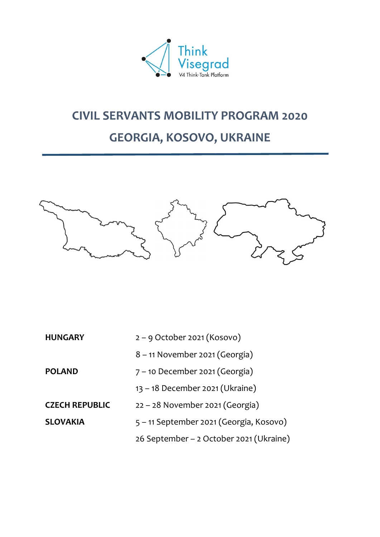

# **CIVIL SERVANTS MOBILITY PROGRAM 2020**

# **GEORGIA, KOSOVO, UKRAINE**



| 8 - 11 November 2021 (Georgia)                             |  |
|------------------------------------------------------------|--|
| $7 - 10$ December 2021 (Georgia)<br><b>POLAND</b>          |  |
| 13 - 18 December 2021 (Ukraine)                            |  |
| $22 - 28$ November 2021 (Georgia)<br><b>CZECH REPUBLIC</b> |  |
| 5 – 11 September 2021 (Georgia, Kosovo)<br><b>SLOVAKIA</b> |  |
| 26 September - 2 October 2021 (Ukraine)                    |  |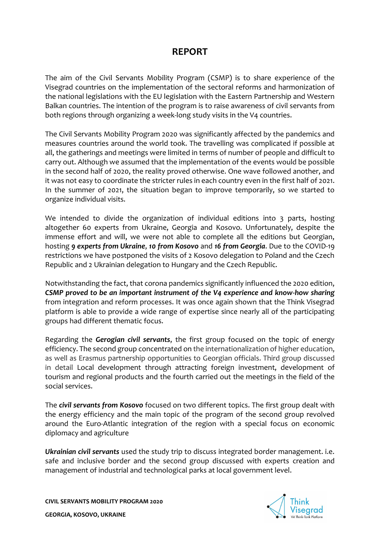# **REPORT**

The aim of the Civil Servants Mobility Program (CSMP) is to share experience of the Visegrad countries on the implementation of the sectoral reforms and harmonization of the national legislations with the EU legislation with the Eastern Partnership and Western Balkan countries. The intention of the program is to raise awareness of civil servants from both regions through organizing a week-long study visits in the V4 countries.

The Civil Servants Mobility Program 2020 was significantly affected by the pandemics and measures countries around the world took. The travelling was complicated if possible at all, the gatherings and meetings were limited in terms of number of people and difficult to carry out. Although we assumed that the implementation of the events would be possible in the second half of 2020, the reality proved otherwise. One wave followed another, and it was not easy to coordinate the stricter rules in each country even in the first half of 2021. In the summer of 2021, the situation began to improve temporarily, so we started to organize individual visits.

We intended to divide the organization of individual editions into 3 parts, hosting altogether 60 experts from Ukraine, Georgia and Kosovo. Unfortunately, despite the immense effort and will, we were not able to complete all the editions but Georgian, hosting *9 experts from Ukraine*, *10 from Kosovo* and *16 from Georgia*. Due to the COVID-19 restrictions we have postponed the visits of 2 Kosovo delegation to Poland and the Czech Republic and 2 Ukrainian delegation to Hungary and the Czech Republic.

Notwithstanding the fact, that corona pandemics significantly influenced the 2020 edition, *CSMP proved to be an important instrument of the V4 experience and know-how sharing* from integration and reform processes. It was once again shown that the Think Visegrad platform is able to provide a wide range of expertise since nearly all of the participating groups had different thematic focus.

Regarding the *Gerogian civil servants*, the first group focused on the topic of energy efficiency. The second group concentrated on the internationalization of higher education, as well as Erasmus partnership opportunities to Georgian officials. Third group discussed in detail Local development through attracting foreign investment, development of tourism and regional products and the fourth carried out the meetings in the field of the social services.

The *civil servants from Kosovo* focused on two different topics. The first group dealt with the energy efficiency and the main topic of the program of the second group revolved around the Euro-Atlantic integration of the region with a special focus on economic diplomacy and agriculture

*Ukrainian civil servants* used the study trip to discuss integrated border management. i.e. safe and inclusive border and the second group discussed with experts creation and management of industrial and technological parks at local government level.

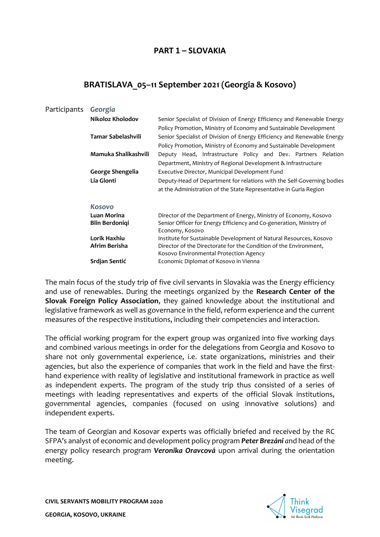# **PART 1 – SLOVAKIA**

# **BRATISLAVA\_05–11 September 2021 (Georgia & Kosovo)**

| Participants | Georgia                 |                                                                                                                                              |
|--------------|-------------------------|----------------------------------------------------------------------------------------------------------------------------------------------|
|              | Nikoloz Kholodov        | Senior Specialist of Division of Energy Efficiency and Renewable Energy<br>Policy Promotion, Ministry of Economy and Sustainable Development |
|              | Tamar Sabelashvili      | Senior Specialist of Division of Energy Efficiency and Renewable Energy<br>Policy Promotion, Ministry of Economy and Sustainable Development |
|              | Mamuka Shalikashvili    | Deputy Head, Infrastructure Policy and Dev. Partners Relation<br>Department, Ministry of Regional Development & Infrastructure               |
|              | <b>George Shengelia</b> | Executive Director, Municipal Development Fund                                                                                               |
|              | Lia Glonti              | Deputy-Head of Department for relations with the Self-Governing bodies<br>at the Administration of the State Representative in Guria Region  |
|              | <b>Kosovo</b>           |                                                                                                                                              |
|              | <b>Luan Morina</b>      | Director of the Department of Energy, Ministry of Economy, Kosovo                                                                            |
|              | <b>Blin Berdoniqi</b>   | Senior Officer for Energy Efficiency and Co-generation, Ministry of<br>Economy, Kosovo                                                       |
|              | Lorik Haxhiu            | Institute for Sustainable Development of Natural Resources, Kosovo                                                                           |
|              | Afrim Berisha           | Director of the Directorate for the Condition of the Environment,<br>Kosovo Environmental Protection Agency                                  |
|              | Srdjan Sentić           | Economic Diplomat of Kosovo in Vienna                                                                                                        |
|              |                         |                                                                                                                                              |

The main focus of the study trip of five civil servants in Slovakia was the Energy efficiency and use of renewables. During the meetings organized by the **Research Center of the Slovak Foreign Policy Association**, they gained knowledge about the institutional and legislative framework as well as governance in the field, reform experience and the current measures of the respective institutions, including their competencies and interaction.

The official working program for the expert group was organized into five working days and combined various meetings in order for the delegations from Georgia and Kosovo to share not only governmental experience, i.e. state organizations, ministries and their agencies, but also the experience of companies that work in the field and have the firsthand experience with reality of legislative and institutional framework in practice as well as independent experts. The program of the study trip thus consisted of a series of meetings with leading representatives and experts of the official Slovak institutions, governmental agencies, companies (focused on using innovative solutions) and independent experts.

The team of Georgian and Kosovar experts was officially briefed and received by the RC SFPA's analyst of economic and development policy program *Peter Brezáni a*nd head of the energy policy research program *Veronika Oravcová* upon arrival during the orientation meeting.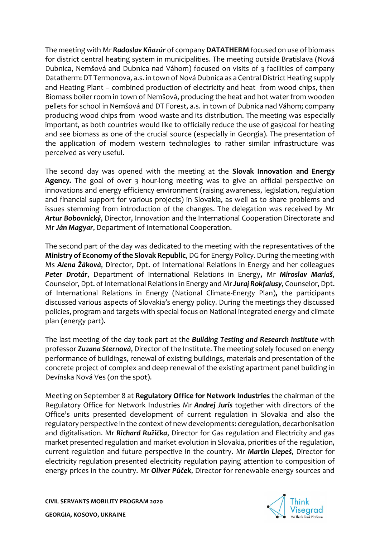The meeting with Mr *Radoslav Kňazúr* of company **DATATHERM** focused on use of biomass for district central heating system in municipalities. The meeting outside Bratislava (Nová Dubnica, Nemšová and Dubnica nad Váhom) focused on visits of 3 facilities of company Datatherm: DT Termonova, a.s. in town of Nová Dubnica as a Central District Heating supply and Heating Plant – combined production of electricity and heat from wood chips, then Biomass boiler room in town of Nemšová, producing the heat and hot water from wooden pellets for school in Nemšová and DT Forest, a.s. in town of Dubnica nad Váhom; company producing wood chips from wood waste and its distribution. The meeting was especially important, as both countries would like to officially reduce the use of gas/coal for heating and see biomass as one of the crucial source (especially in Georgia). The presentation of the application of modern western technologies to rather similar infrastructure was perceived as very useful.

The second day was opened with the meeting at the **Slovak Innovation and Energy Agency***.* The goal of over 3 hour-long meeting was to give an official perspective on innovations and energy efficiency environment (raising awareness, legislation, regulation and financial support for various projects) in Slovakia, as well as to share problems and issues stemming from introduction of the changes. The delegation was received by Mr *Artur Bobovnický*, Director, Innovation and the International Cooperation Directorate and Mr *Ján Magyar*, Department of International Cooperation.

The second part of the day was dedicated to the meeting with the representatives of the **Ministry of Economy of the Slovak Republic**, DG for Energy Policy. During the meeting with Ms *Alena Žáková*, Director, Dpt. of International Relations in Energy and her colleagues *Peter Drotár*, Department of International Relations in Energy**,** Mr *Miroslav Mariaš*, Counselor, Dpt. of International Relations in Energy and Mr*Juraj Rokfalusy*, Counselor, Dpt. of International Relations in Energy (National Climate-Energy Plan)**,** the participants discussed various aspects of Slovakia's energy policy. During the meetings they discussed policies, program and targets with special focus on National integrated energy and climate plan (energy part)**.** 

The last meeting of the day took part at the *Building Testing and Research Institute* with professor *Zuzana Sternová*, Director of the Institute. The meeting solely focused on energy performance of buildings, renewal of existing buildings, materials and presentation of the concrete project of complex and deep renewal of the existing apartment panel building in Devínska Nová Ves (on the spot).

Meeting on September 8 at **Regulatory Office for Network Industries** the chairman of the Regulatory Office for Network Industries Mr *Andrej Juris* together with directors of the Office's units presented development of current regulation in Slovakia and also the regulatory perspective in the context of new developments: deregulation, decarbonisation and digitalisation. Mr *Richard Ružička*, Director for Gas regulation and Electricity and gas market presented regulation and market evolution in Slovakia, priorities of the regulation, current regulation and future perspective in the country. Mr *Martin Liepeš*, Director for electricity regulation presented electricity regulation paying attention to composition of energy prices in the country. Mr *Oliver Púček*, Director for renewable energy sources and

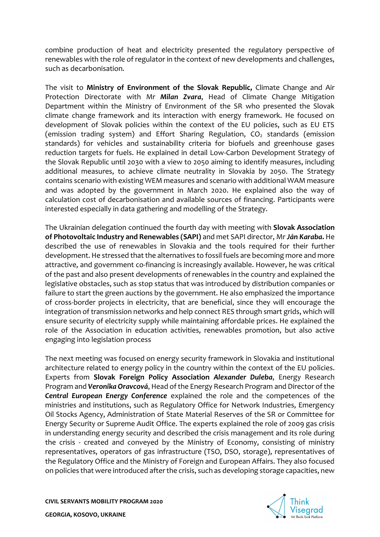combine production of heat and electricity presented the regulatory perspective of renewables with the role of regulator in the context of new developments and challenges, such as decarbonisation.

The visit to **Ministry of Environment of the Slovak Republic***,* Climate Change and Air Protection Directorate with Mr *Milan Zvara*, Head of Climate Change Mitigation Department within the Ministry of Environment of the SR who presented the Slovak climate change framework and its interaction with energy framework. He focused on development of Slovak policies within the context of the EU policies, such as EU ETS (emission trading system) and Effort Sharing Regulation,  $CO<sub>2</sub>$  standards (emission standards) for vehicles and sustainability criteria for biofuels and greenhouse gases reduction targets for fuels. He explained in detail Low-Carbon Development Strategy of the Slovak Republic until 2030 with a view to 2050 aiming to identify measures, including additional measures, to achieve climate neutrality in Slovakia by 2050. The Strategy contains scenario with existing WEM measures and scenario with additional WAM measure and was adopted by the government in March 2020. He explained also the way of calculation cost of decarbonisation and available sources of financing. Participants were interested especially in data gathering and modelling of the Strategy.

The Ukrainian delegation continued the fourth day with meeting with **Slovak Association of Photovoltaic Industry and Renewables (SAPI)** and met SAPI director, Mr *Ján Karaba.* He described the use of renewables in Slovakia and the tools required for their further development. He stressed that the alternatives to fossil fuels are becoming more and more attractive, and government co-financing is increasingly available. However, he was critical of the past and also present developments of renewables in the country and explained the legislative obstacles, such as stop status that was introduced by distribution companies or failure to start the green auctions by the government. He also emphasized the importance of cross-border projects in electricity, that are beneficial, since they will encourage the integration of transmission networks and help connect RES through smart grids, which will ensure security of electricity supply while maintaining affordable prices. He explained the role of the Association in education activities, renewables promotion, but also active engaging into legislation process

The next meeting was focused on energy security framework in Slovakia and institutional architecture related to energy policy in the country within the context of the EU policies. Experts from **Slovak Foreign Policy Association** *Alexander Duleba*, Energy Research Program and *Veronika Oravcová*, Head of the Energy Research Program and Director of the *Central European Energy Conference* explained the role and the competences of the ministries and institutions, such as Regulatory Office for Network Industries, Emergency Oil Stocks Agency, Administration of State Material Reserves of the SR or Committee for Energy Security or Supreme Audit Office. The experts explained the role of 2009 gas crisis in understanding energy security and described the crisis management and its role during the crisis - created and conveyed by the Ministry of Economy, consisting of ministry representatives, operators of gas infrastructure (TSO, DSO, storage), representatives of the Regulatory Office and the Ministry of Foreign and European Affairs. They also focused on policies that were introduced after the crisis, such as developing storage capacities, new

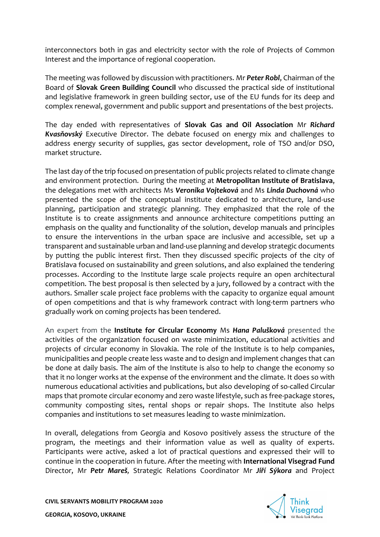interconnectors both in gas and electricity sector with the role of Projects of Common Interest and the importance of regional cooperation.

The meeting was followed by discussion with practitioners. Mr *Peter Robl*, Chairman of the Board of **Slovak Green Building Council** who discussed the practical side of institutional and legislative framework in green building sector, use of the EU funds for its deep and complex renewal, government and public support and presentations of the best projects.

The day ended with representatives of **Slovak Gas and Oil Association** Mr *Richard Kvasňovský* Executive Director. The debate focused on energy mix and challenges to address energy security of supplies, gas sector development, role of TSO and/or DSO, market structure.

The last day of the trip focused on presentation of public projects related to climate change and environment protection. During the meeting at **Metropolitan Institute of Bratislava**, the delegations met with architects Ms *Veronika Vojteková* and Ms *Linda Duchovná* who presented the scope of the conceptual institute dedicated to architecture, land-use planning, participation and strategic planning. They emphasized that the role of the Institute is to create assignments and announce architecture competitions putting an emphasis on the quality and functionality of the solution, develop manuals and principles to ensure the interventions in the urban space are inclusive and accessible, set up a transparent and sustainable urban and land-use planning and develop strategic documents by putting the public interest first. Then they discussed specific projects of the city of Bratislava focused on sustainability and green solutions, and also explained the tendering processes. According to the Institute large scale projects require an open architectural competition. The best proposal is then selected by a jury, followed by a contract with the authors. Smaller scale project face problems with the capacity to organize equal amount of open competitions and that is why framework contract with long-term partners who gradually work on coming projects has been tendered.

An expert from the **Institute for Circular Economy** Ms *Hana Palušková* presented the activities of the organization focused on waste minimization, educational activities and projects of circular economy in Slovakia. The role of the Institute is to help companies, municipalities and people create less waste and to design and implement changes that can be done at daily basis. The aim of the Institute is also to help to change the economy so that it no longer works at the expense of the environment and the climate. It does so with numerous educational activities and publications, but also developing of so-called Circular maps that promote circular economy and zero waste lifestyle, such as free-package stores, community composting sites, rental shops or repair shops. The Institute also helps companies and institutions to set measures leading to waste minimization.

In overall, delegations from Georgia and Kosovo positively assess the structure of the program, the meetings and their information value as well as quality of experts. Participants were active, asked a lot of practical questions and expressed their will to continue in the cooperation in future. After the meeting with **International Visegrad Fund** Director, Mr *Petr Mareš,* Strategic Relations Coordinator Mr *Jiří Sýkora* and Project

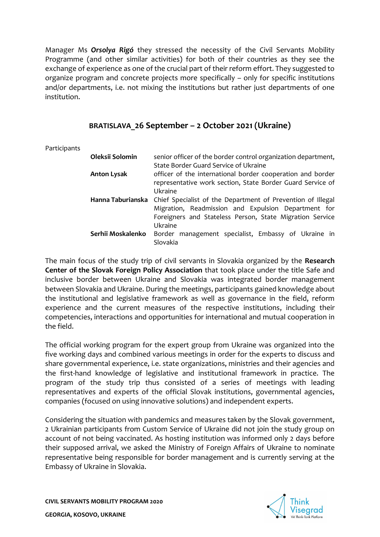Manager Ms *Orsolya Rigó* they stressed the necessity of the Civil Servants Mobility Programme (and other similar activities) for both of their countries as they see the exchange of experience as one of the crucial part of their reform effort. They suggested to organize program and concrete projects more specifically – only for specific institutions and/or departments, i.e. not mixing the institutions but rather just departments of one institution.

# **BRATISLAVA\_26 September – 2 October 2021 (Ukraine)**

Participants

| Oleksii Solomin    | senior officer of the border control organization department,<br>State Border Guard Service of Ukraine                                                                                    |
|--------------------|-------------------------------------------------------------------------------------------------------------------------------------------------------------------------------------------|
| <b>Anton Lysak</b> | officer of the international border cooperation and border<br>representative work section, State Border Guard Service of                                                                  |
| Hanna Taburianska  | Ukraine<br>Chief Specialist of the Department of Prevention of Illegal<br>Migration, Readmission and Expulsion Department for<br>Foreigners and Stateless Person, State Migration Service |
| Serhii Moskalenko  | Ukraine<br>Border management specialist, Embassy of Ukraine in<br>Slovakia                                                                                                                |

The main focus of the study trip of civil servants in Slovakia organized by the **Research Center of the Slovak Foreign Policy Association** that took place under the title Safe and inclusive border between Ukraine and Slovakia was integrated border management between Slovakia and Ukraine. During the meetings, participants gained knowledge about the institutional and legislative framework as well as governance in the field, reform experience and the current measures of the respective institutions, including their competencies, interactions and opportunities for international and mutual cooperation in the field.

The official working program for the expert group from Ukraine was organized into the five working days and combined various meetings in order for the experts to discuss and share governmental experience, i.e. state organizations, ministries and their agencies and the first-hand knowledge of legislative and institutional framework in practice. The program of the study trip thus consisted of a series of meetings with leading representatives and experts of the official Slovak institutions, governmental agencies, companies (focused on using innovative solutions) and independent experts.

Considering the situation with pandemics and measures taken by the Slovak government, 2 Ukrainian participants from Custom Service of Ukraine did not join the study group on account of not being vaccinated. As hosting institution was informed only 2 days before their supposed arrival, we asked the Ministry of Foreign Affairs of Ukraine to nominate representative being responsible for border management and is currently serving at the Embassy of Ukraine in Slovakia.

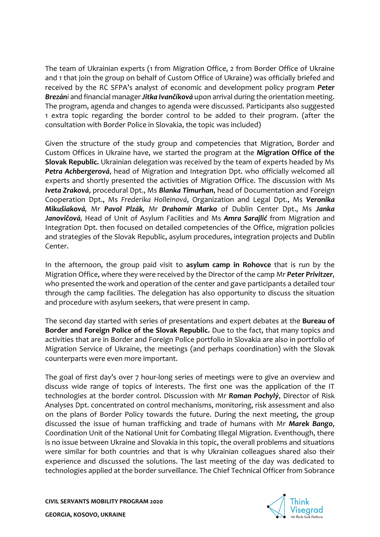The team of Ukrainian experts (1 from Migration Office, 2 from Border Office of Ukraine and 1 that join the group on behalf of Custom Office of Ukraine) was officially briefed and received by the RC SFPA's analyst of economic and development policy program *Peter Brezáni* and financial manager *Jitka Ivančíková* upon arrival during the orientation meeting. The program, agenda and changes to agenda were discussed. Participants also suggested 1 extra topic regarding the border control to be added to their program. (after the consultation with Border Police in Slovakia, the topic was included)

Given the structure of the study group and competencies that Migration, Border and Custom Offices in Ukraine have, we started the program at the **Migration Office of the Slovak Republic***.* Ukrainian delegation was received by the team of experts headed by Ms *Petra Achbergerová*, head of Migration and Integration Dpt. who officially welcomed all experts and shortly presented the activities of Migration Office. The discussion with Ms *Iveta Zraková*, procedural Dpt., Ms *Blanka Timurhan*, head of Documentation and Foreign Cooperation Dpt., Ms *Frederika Holleinová*, Organization and Legal Dpt., Ms *Veronika Mikušiaková,* Mr *Pavol Plzák,* Mr *Drahomír Marko* of Dublin Center Dpt., Ms *Janka Janovičová,* Head of Unit of Asylum Facilities and Ms *Amra Sarajlić* from Migration and Integration Dpt. then focused on detailed competencies of the Office, migration policies and strategies of the Slovak Republic, asylum procedures, integration projects and Dublin Center.

In the afternoon, the group paid visit to **asylum camp in Rohovce** that is run by the Migration Office, where they were received by the Director of the camp Mr *Peter Privitzer*, who presented the work and operation of the center and gave participants a detailed tour through the camp facilities. The delegation has also opportunity to discuss the situation and procedure with asylum seekers, that were present in camp.

The second day started with series of presentations and expert debates at the **Bureau of Border and Foreign Police of the Slovak Republic***.* Due to the fact, that many topics and activities that are in Border and Foreign Police portfolio in Slovakia are also in portfolio of Migration Service of Ukraine, the meetings (and perhaps coordination) with the Slovak counterparts were even more important.

The goal of first day's over 7 hour-long series of meetings were to give an overview and discuss wide range of topics of interests. The first one was the application of the IT technologies at the border control. Discussion with Mr *Roman Pochylý*, Director of Risk Analyses Dpt. concentrated on control mechanisms, monitoring, risk assessment and also on the plans of Border Policy towards the future. During the next meeting, the group discussed the issue of human trafficking and trade of humans with Mr *Marek Bango*, Coordination Unit of the National Unit for Combating Illegal Migration. Eventhough, there is no issue between Ukraine and Slovakia in this topic, the overall problems and situations were similar for both countries and that is why Ukrainian colleagues shared also their experience and discussed the solutions. The last meeting of the day was dedicated to technologies applied at the border surveillance. The Chief Technical Officer from Sobrance

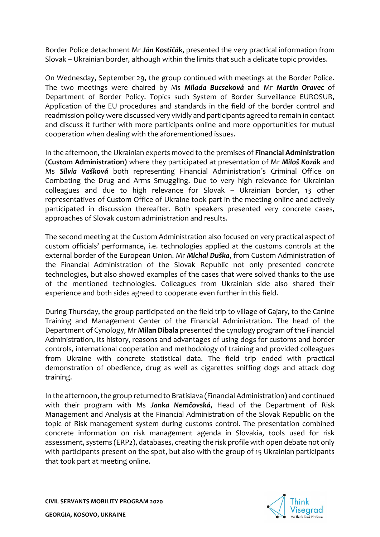Border Police detachment Mr *Ján Kostičák*, presented the very practical information from Slovak – Ukrainian border, although within the limits that such a delicate topic provides.

On Wednesday, September 29, the group continued with meetings at the Border Police. The two meetings were chaired by Ms *Milada Bucseková* and Mr *Martin Oravec* of Department of Border Policy. Topics such System of Border Surveillance EUROSUR, Application of the EU procedures and standards in the field of the border control and readmission policy were discussed very vividly and participants agreed to remain in contact and discuss it further with more participants online and more opportunities for mutual cooperation when dealing with the aforementioned issues.

In the afternoon, the Ukrainian experts moved to the premises of **Financial Administration** (**Custom Administration)** where they participated at presentation of Mr *Miloš Kozák* and Ms *Silvia Vašková* both representing Financial Administration´s Criminal Office on Combating the Drug and Arms Smuggling. Due to very high relevance for Ukrainian colleagues and due to high relevance for Slovak – Ukrainian border, 13 other representatives of Custom Office of Ukraine took part in the meeting online and actively participated in discussion thereafter. Both speakers presented very concrete cases, approaches of Slovak custom administration and results.

The second meeting at the Custom Administration also focused on very practical aspect of custom officials' performance, i.e. technologies applied at the customs controls at the external border of the European Union. Mr *Michal Duška*, from Custom Administration of the Financial Administration of the Slovak Republic not only presented concrete technologies, but also showed examples of the cases that were solved thanks to the use of the mentioned technologies. Colleagues from Ukrainian side also shared their experience and both sides agreed to cooperate even further in this field.

During Thursday, the group participated on the field trip to village of Gajary, to the Canine Training and Management Center of the Financial Administration. The head of the Department of Cynology, Mr **Milan Dibala** presented the cynology program of the Financial Administration, its history, reasons and advantages of using dogs for customs and border controls, international cooperation and methodology of training and provided colleagues from Ukraine with concrete statistical data. The field trip ended with practical demonstration of obedience, drug as well as cigarettes sniffing dogs and attack dog training.

In the afternoon, the group returned to Bratislava (Financial Administration) and continued with their program with Ms *Janka Nemčovská*, Head of the Department of Risk Management and Analysis at the Financial Administration of the Slovak Republic on the topic of Risk management system during customs control. The presentation combined concrete information on risk management agenda in Slovakia, tools used for risk assessment, systems (ERP2), databases, creating the risk profile with open debate not only with participants present on the spot, but also with the group of 15 Ukrainian participants that took part at meeting online.

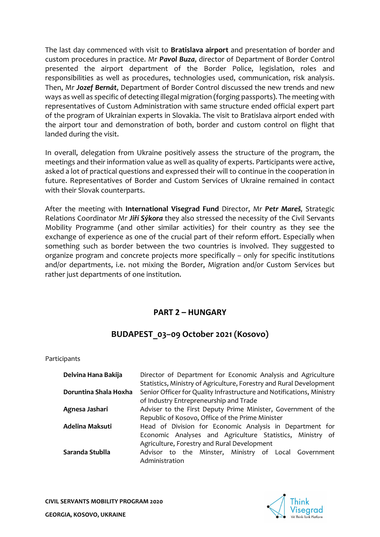The last day commenced with visit to **Bratislava airport** and presentation of border and custom procedures in practice. Mr *Pavol Buza*, director of Department of Border Control presented the airport department of the Border Police, legislation, roles and responsibilities as well as procedures, technologies used, communication, risk analysis. Then, Mr *Jozef Bernát*, Department of Border Control discussed the new trends and new ways as well as specific of detecting illegal migration (forging passports). The meeting with representatives of Custom Administration with same structure ended official expert part of the program of Ukrainian experts in Slovakia. The visit to Bratislava airport ended with the airport tour and demonstration of both, border and custom control on flight that landed during the visit.

In overall, delegation from Ukraine positively assess the structure of the program, the meetings and their information value as well as quality of experts. Participants were active, asked a lot of practical questions and expressed their will to continue in the cooperation in future. Representatives of Border and Custom Services of Ukraine remained in contact with their Slovak counterparts.

After the meeting with **International Visegrad Fund** Director, Mr *Petr Mareš,* Strategic Relations Coordinator Mr *Jiří Sýkora* they also stressed the necessity of the Civil Servants Mobility Programme (and other similar activities) for their country as they see the exchange of experience as one of the crucial part of their reform effort. Especially when something such as border between the two countries is involved. They suggested to organize program and concrete projects more specifically – only for specific institutions and/or departments, i.e. not mixing the Border, Migration and/or Custom Services but rather just departments of one institution.

# **PART 2 – HUNGARY**

# **BUDAPEST\_03–09 October 2021 (Kosovo)**

Participants

| Delvina Hana Bakija   | Director of Department for Economic Analysis and Agriculture          |
|-----------------------|-----------------------------------------------------------------------|
|                       | Statistics, Ministry of Agriculture, Forestry and Rural Development   |
| Doruntina Shala Hoxha | Senior Officer for Quality Infrastructure and Notifications, Ministry |
|                       | of Industry Entrepreneurship and Trade                                |
| Agnesa Jashari        | Adviser to the First Deputy Prime Minister, Government of the         |
|                       | Republic of Kosovo, Office of the Prime Minister                      |
| Adelina Maksuti       | Head of Division for Economic Analysis in Department for              |
|                       | Economic Analyses and Agriculture Statistics, Ministry of             |
|                       | Agriculture, Forestry and Rural Development                           |
| Saranda Stublla       | Advisor to the Minster, Ministry of Local Government                  |
|                       | Administration                                                        |

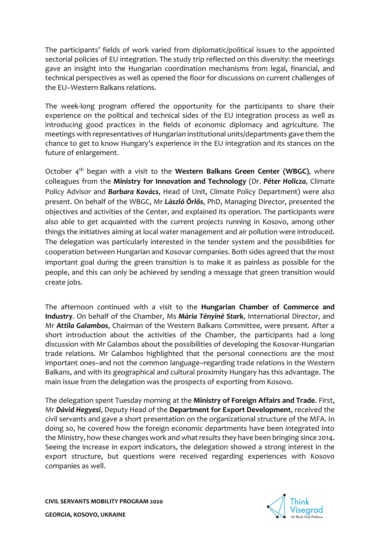The participants' fields of work varied from diplomatic/political issues to the appointed sectorial policies of EU integration. The study trip reflected on this diversity: the meetings gave an insight into the Hungarian coordination mechanisms from legal, financial, and technical perspectives as well as opened the floor for discussions on current challenges of the EU–Western Balkans relations.

The week-long program offered the opportunity for the participants to share their experience on the political and technical sides of the EU integration process as well as introducing good practices in the fields of economic diplomacy and agriculture. The meetings with representatives of Hungarian institutional units/departments gave them the chance to get to know Hungary's experience in the EU integration and its stances on the future of enlargement.

October 4th began with a visit to the **Western Balkans Green Center (WBGC)**, where colleagues from the **Ministry for Innovation and Technology** (Dr. *Péter Holicza*, Climate Policy Advisor and *Barbara Kovács*, Head of Unit, Climate Policy Department) were also present. On behalf of the WBGC, Mr *László Örlős*, PhD, Managing Director, presented the objectives and activities of the Center, and explained its operation. The participants were also able to get acquainted with the current projects running in Kosovo, among other things the initiatives aiming at local water management and air pollution were introduced. The delegation was particularly interested in the tender system and the possibilities for cooperation between Hungarian and Kosovar companies. Both sides agreed that the most important goal during the green transition is to make it as painless as possible for the people, and this can only be achieved by sending a message that green transition would create jobs.

The afternoon continued with a visit to the **Hungarian Chamber of Commerce and Industry**. On behalf of the Chamber, Ms *Mária Tényiné Stark*, International Director, and Mr *Attila Galambos*, Chairman of the Western Balkans Committee, were present. After a short introduction about the activities of the Chamber, the participants had a long discussion with Mr Galambos about the possibilities of developing the Kosovar-Hungarian trade relations. Mr Galambos highlighted that the personal connections are the most important ones–and not the common language–regarding trade relations in the Western Balkans, and with its geographical and cultural proximity Hungary has this advantage. The main issue from the delegation was the prospects of exporting from Kosovo.

The delegation spent Tuesday morning at the **Ministry of Foreign Affairs and Trade**. First, Mr *Dávid Hegyesi*, Deputy Head of the **Department for Export Development**, received the civil servants and gave a short presentation on the organizational structure of the MFA. In doing so, he covered how the foreign economic departments have been integrated into the Ministry, how these changes work and what results they have been bringing since 2014. Seeing the increase in export indicators, the delegation showed a strong interest in the export structure, but questions were received regarding experiences with Kosovo companies as well.

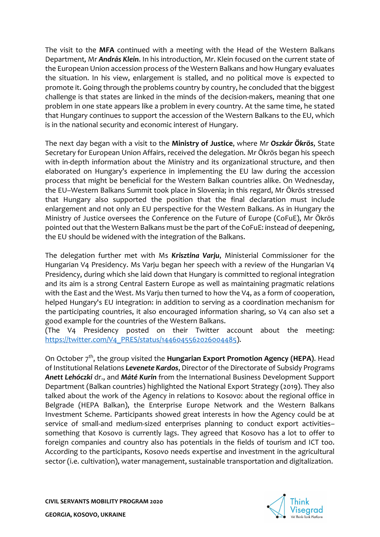The visit to the **MFA** continued with a meeting with the Head of the Western Balkans Department*,* Mr *András Klein*. In his introduction, Mr. Klein focused on the current state of the European Union accession process of the Western Balkans and how Hungary evaluates the situation. In his view, enlargement is stalled, and no political move is expected to promote it. Going through the problems country by country, he concluded that the biggest challenge is that states are linked in the minds of the decision-makers, meaning that one problem in one state appears like a problem in every country. At the same time, he stated that Hungary continues to support the accession of the Western Balkans to the EU, which is in the national security and economic interest of Hungary.

The next day began with a visit to the **Ministry of Justice**, where Mr *Oszkár Ökrös*, State Secretary for European Union Affairs, received the delegation. Mr Ökrös began his speech with in-depth information about the Ministry and its organizational structure, and then elaborated on Hungary's experience in implementing the EU law during the accession process that might be beneficial for the Western Balkan countries alike. On Wednesday, the EU–Western Balkans Summit took place in Slovenia; in this regard, Mr Ökrös stressed that Hungary also supported the position that the final declaration must include enlargement and not only an EU perspective for the Western Balkans. As in Hungary the Ministry of Justice oversees the Conference on the Future of Europe (CoFuE), Mr Ökrös pointed out that the Western Balkans must be the part of the CoFuE: instead of deepening, the EU should be widened with the integration of the Balkans.

The delegation further met with Ms *Krisztina Varju*, Ministerial Commissioner for the Hungarian V4 Presidency. Ms Varju began her speech with a review of the Hungarian V4 Presidency, during which she laid down that Hungary is committed to regional integration and its aim is a strong Central Eastern Europe as well as maintaining pragmatic relations with the East and the West. Ms Variu then turned to how the V4, as a form of cooperation, helped Hungary's EU integration: in addition to serving as a coordination mechanism for the participating countries, it also encouraged information sharing, so V4 can also set a good example for the countries of the Western Balkans.

(The V4 Presidency posted on their Twitter account about the meeting: [https://twitter.com/V4\\_PRES/status/1446045562026004485\)](https://twitter.com/V4_PRES/status/1446045562026004485).

On October 7<sup>th</sup>, the group visited the **Hungarian Export Promotion Agency (HEPA)**. Head of Institutional Relations *Levenete Kardos*, Director of the Directorate of Subsidy Programs *Anett Lehóczki* dr., and *Máté Kurin* from the International Business Development Support Department (Balkan countries) highlighted the National Export Strategy (2019). They also talked about the work of the Agency in relations to Kosovo: about the regional office in Belgrade (HEPA Balkan), the Enterprise Europe Network and the Western Balkans Investment Scheme. Participants showed great interests in how the Agency could be at service of small-and medium-sized enterprises planning to conduct export activities– something that Kosovo is currently lags. They agreed that Kosovo has a lot to offer to foreign companies and country also has potentials in the fields of tourism and ICT too. According to the participants, Kosovo needs expertise and investment in the agricultural sector (i.e. cultivation), water management, sustainable transportation and digitalization.

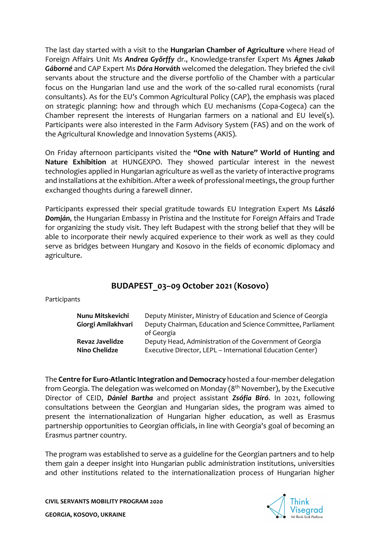The last day started with a visit to the **Hungarian Chamber of Agriculture** where Head of Foreign Affairs Unit Ms *Andrea Győrffy* dr., Knowledge-transfer Expert Ms *Ágnes Jakab Gáborné* and CAP Expert Ms *Dóra Horváth* welcomed the delegation. They briefed the civil servants about the structure and the diverse portfolio of the Chamber with a particular focus on the Hungarian land use and the work of the so-called rural economists (rural consultants). As for the EU's Common Agricultural Policy (CAP), the emphasis was placed on strategic planning: how and through which EU mechanisms (Copa-Cogeca) can the Chamber represent the interests of Hungarian farmers on a national and EU level(s). Participants were also interested in the Farm Advisory System (FAS) and on the work of the Agricultural Knowledge and Innovation Systems (AKIS).

On Friday afternoon participants visited the **"One with Nature" World of Hunting and Nature Exhibition** at HUNGEXPO. They showed particular interest in the newest technologies applied in Hungarian agriculture as well as the variety of interactive programs and installations at the exhibition. After a week of professional meetings, the group further exchanged thoughts during a farewell dinner.

Participants expressed their special gratitude towards EU Integration Expert Ms *László Domján*, the Hungarian Embassy in Pristina and the Institute for Foreign Affairs and Trade for organizing the study visit. They left Budapest with the strong belief that they will be able to incorporate their newly acquired experience to their work as well as they could serve as bridges between Hungary and Kosovo in the fields of economic diplomacy and agriculture.

# **BUDAPEST\_03–09 October 2021 (Kosovo)**

Participants

| Nunu Mitskevichi       | Deputy Minister, Ministry of Education and Science of Georgia |
|------------------------|---------------------------------------------------------------|
| Giorgi Amilakhvari     | Deputy Chairman, Education and Science Committee, Parliament  |
|                        | of Georgia                                                    |
| <b>Revaz Javelidze</b> | Deputy Head, Administration of the Government of Georgia      |
| <b>Nino Chelidze</b>   | Executive Director, LEPL - International Education Center)    |

The **Centre for Euro-Atlantic Integration and Democracy** hosted a four-member delegation from Georgia. The delegation was welcomed on Monday (8<sup>th</sup> November), by the Executive Director of CEID, *Dániel Bartha* and project assistant *Zsófia Bíró*. In 2021, following consultations between the Georgian and Hungarian sides, the program was aimed to present the internationalization of Hungarian higher education, as well as Erasmus partnership opportunities to Georgian officials, in line with Georgia's goal of becoming an Erasmus partner country.

The program was established to serve as a guideline for the Georgian partners and to help them gain a deeper insight into Hungarian public administration institutions, universities and other institutions related to the internationalization process of Hungarian higher

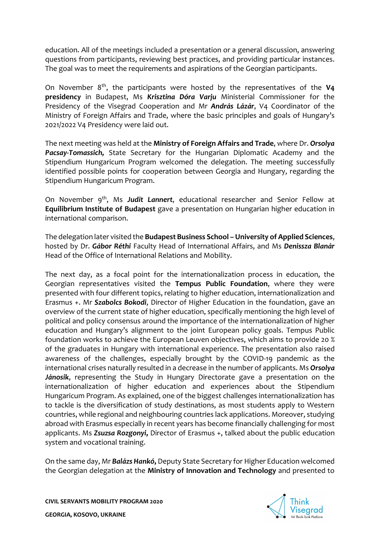education. All of the meetings included a presentation or a general discussion, answering questions from participants, reviewing best practices, and providing particular instances. The goal was to meet the requirements and aspirations of the Georgian participants.

On November 8<sup>th</sup>, the participants were hosted by the representatives of the V4 **presidency** in Budapest, Ms *Krisztina Dóra Varju* Ministerial Commissioner for the Presidency of the Visegrad Cooperation and Mr *András Lázár*, V4 Coordinator of the Ministry of Foreign Affairs and Trade, where the basic principles and goals of Hungary's 2021/2022 V4 Presidency were laid out.

The next meeting was held at the **Ministry of Foreign Affairs and Trade**, where Dr. *Orsolya Pacsay-Tomassich,* State Secretary for the Hungarian Diplomatic Academy and the Stipendium Hungaricum Program welcomed the delegation. The meeting successfully identified possible points for cooperation between Georgia and Hungary, regarding the Stipendium Hungaricum Program.

On November 9<sup>th</sup>, Ms Judit Lannert, educational researcher and Senior Fellow at **Equilibrium Institute of Budapest** gave a presentation on Hungarian higher education in international comparison.

The delegation later visited the **Budapest Business School –University of Applied Sciences**, hosted by Dr. *Gábor Réthi* Faculty Head of International Affairs, and Ms *Denissza Blanár* Head of the Office of International Relations and Mobility.

The next day, as a focal point for the internationalization process in education, the Georgian representatives visited the **Tempus Public Foundation**, where they were presented with four different topics, relating to higher education, internationalization and Erasmus +. Mr *Szabolcs Bokodi*, Director of Higher Education in the foundation, gave an overview of the current state of higher education, specifically mentioning the high level of political and policy consensus around the importance of the internationalization of higher education and Hungary's alignment to the joint European policy goals. Tempus Public foundation works to achieve the European Leuven objectives, which aims to provide 20 % of the graduates in Hungary with international experience. The presentation also raised awareness of the challenges, especially brought by the COVID-19 pandemic as the international crises naturally resulted in a decrease in the number of applicants. Ms *Orsolya Jánosik*, representing the Study in Hungary Directorate gave a presentation on the internationalization of higher education and experiences about the Stipendium Hungaricum Program. As explained, one of the biggest challenges internationalization has to tackle is the diversification of study destinations, as most students apply to Western countries, while regional and neighbouring countries lack applications. Moreover, studying abroad with Erasmus especially in recent years has become financially challenging for most applicants. Ms *Zsuzsa Rozgonyi***,** Director of Erasmus +, talked about the public education system and vocational training.

On the same day, Mr *Balázs Hankó***,** Deputy State Secretary for Higher Education welcomed the Georgian delegation at the **Ministry of Innovation and Technology** and presented to

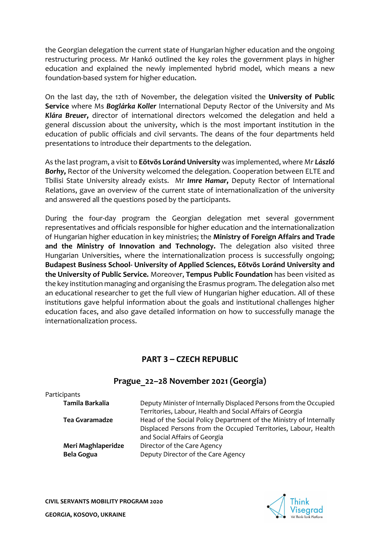the Georgian delegation the current state of Hungarian higher education and the ongoing restructuring process. Mr Hankó outlined the key roles the government plays in higher education and explained the newly implemented hybrid model, which means a new foundation-based system for higher education.

On the last day, the 12th of November, the delegation visited the **University of Public Service** where Ms *Boglárka Koller* International Deputy Rector of the University and Ms *Klára Breuer***,** director of international directors welcomed the delegation and held a general discussion about the university, which is the most important institution in the education of public officials and civil servants. The deans of the four departments held presentations to introduce their departments to the delegation.

As the last program, a visit to **Eötvös Loránd University** was implemented, where Mr *László Borhy***,** Rector of the University welcomed the delegation. Cooperation between ELTE and Tbilisi State University already exists. Mr *Imre Hamar***,** Deputy Rector of International Relations, gave an overview of the current state of internationalization of the university and answered all the questions posed by the participants.

During the four-day program the Georgian delegation met several government representatives and officials responsible for higher education and the internationalization of Hungarian higher education in key ministries; the **Ministry of Foreign Affairs and Trade and the Ministry of Innovation and Technology.** The delegation also visited three Hungarian Universities, where the internationalization process is successfully ongoing; **Budapest Business School- University of Applied Sciences, Eötvös Loránd University and the University of Public Service.** Moreover, **Tempus Public Foundation** has been visited as the key institution managing and organising the Erasmus program. The delegation also met an educational researcher to get the full view of Hungarian higher education. All of these institutions gave helpful information about the goals and institutional challenges higher education faces, and also gave detailed information on how to successfully manage the internationalization process.

# **PART 3 – CZECH REPUBLIC**

# **Prague\_22–28 November 2021 (Georgia)**

| Participants          |                                                                    |
|-----------------------|--------------------------------------------------------------------|
| Tamila Barkalia       | Deputy Minister of Internally Displaced Persons from the Occupied  |
|                       | Territories, Labour, Health and Social Affairs of Georgia          |
| <b>Tea Gvaramadze</b> | Head of the Social Policy Department of the Ministry of Internally |
|                       | Displaced Persons from the Occupied Territories, Labour, Health    |
|                       | and Social Affairs of Georgia                                      |
| Meri Maghlaperidze    | Director of the Care Agency                                        |
| <b>Bela Gogua</b>     | Deputy Director of the Care Agency                                 |

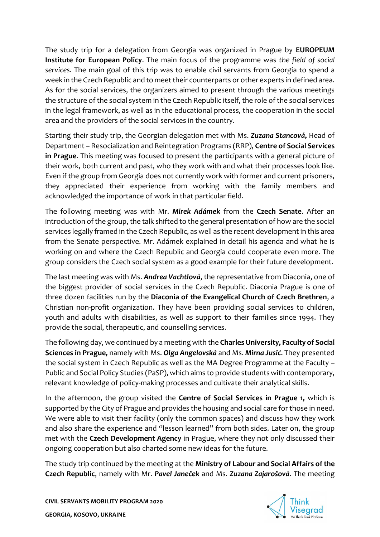The study trip for a delegation from Georgia was organized in Prague by **EUROPEUM Institute for European Policy**. The main focus of the programme was *the field of social services.* The main goal of this trip was to enable civil servants from Georgia to spend a week in the Czech Republic and to meet their counterparts or other experts in defined area. As for the social services, the organizers aimed to present through the various meetings the structure of the social system in the Czech Republic itself, the role of the social services in the legal framework, as well as in the educational process, the cooperation in the social area and the providers of the social services in the country.

Starting their study trip, the Georgian delegation met with Ms. *Zuzana Stancová***,** Head of Department – Resocialization and Reintegration Programs (RRP), **Centre of Social Services in Prague**. This meeting was focused to present the participants with a general picture of their work, both current and past, who they work with and what their processes look like. Even if the group from Georgia does not currently work with former and current prisoners, they appreciated their experience from working with the family members and acknowledged the importance of work in that particular field.

The following meeting was with Mr. *Mirek Adámek* from the **Czech Senate**. After an introduction of the group, the talk shifted to the general presentation of how are the social services legally framed in the Czech Republic, as well as the recent development in this area from the Senate perspective. Mr. Adámek explained in detail his agenda and what he is working on and where the Czech Republic and Georgia could cooperate even more. The group considers the Czech social system as a good example for their future development.

The last meeting was with Ms. *Andrea Vachtlová*, the representative from Diaconia, one of the biggest provider of social services in the Czech Republic. Diaconia Prague is one of three dozen facilities run by the **Diaconia of the Evangelical Church of Czech Brethren**, a Christian non-profit organization. They have been providing social services to children, youth and adults with disabilities, as well as support to their families since 1994. They provide the social, therapeutic, and counselling services.

The following day, we continued by a meeting with the **Charles University, Faculty of Social Sciences in Prague,** namely with Ms. *Olga Angelovská* and Ms. *Mirna Jusić*. They presented the social system in Czech Republic as well as the MA Degree Programme at the Faculty – Public and Social Policy Studies (PaSP), which aims to provide students with contemporary, relevant knowledge of policy-making processes and cultivate their analytical skills.

In the afternoon, the group visited the **Centre of Social Services in Prague 1,** which is supported by the City of Prague and provides the housing and social care for those in need. We were able to visit their facility (only the common spaces) and discuss how they work and also share the experience and ''lesson learned'' from both sides. Later on, the group met with the **Czech Development Agency** in Prague, where they not only discussed their ongoing cooperation but also charted some new ideas for the future.

The study trip continued by the meeting at the **Ministry of Labour and Social Affairs of the Czech Republic**, namely with Mr. *Pavel Janeček* and Ms. *Zuzana Zajarošová*. The meeting

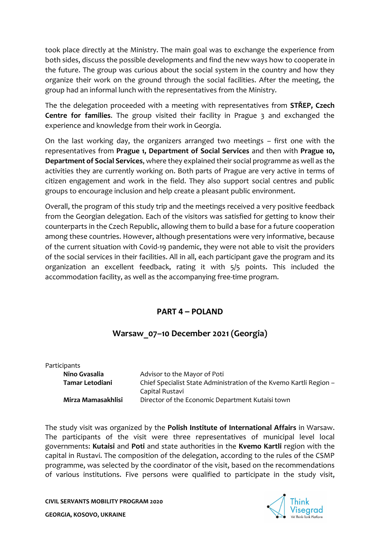took place directly at the Ministry. The main goal was to exchange the experience from both sides, discuss the possible developments and find the new ways how to cooperate in the future. The group was curious about the social system in the country and how they organize their work on the ground through the social facilities. After the meeting, the group had an informal lunch with the representatives from the Ministry.

The the delegation proceeded with a meeting with representatives from **STŘEP, Czech Centre for families**. The group visited their facility in Prague 3 and exchanged the experience and knowledge from their work in Georgia.

On the last working day, the organizers arranged two meetings – first one with the representatives from **Prague 1, Department of Social Services** and then with **Prague 10, Department of Social Services**, where they explained their social programme as well as the activities they are currently working on. Both parts of Prague are very active in terms of citizen engagement and work in the field. They also support social centres and public groups to encourage inclusion and help create a pleasant public environment.

Overall, the program of this study trip and the meetings received a very positive feedback from the Georgian delegation. Each of the visitors was satisfied for getting to know their counterparts in the Czech Republic, allowing them to build a base for a future cooperation among these countries. However, although presentations were very informative, because of the current situation with Covid-19 pandemic, they were not able to visit the providers of the social services in their facilities. All in all, each participant gave the program and its organization an excellent feedback, rating it with 5/5 points. This included the accommodation facility, as well as the accompanying free-time program.

# **PART 4 – POLAND**

# **Warsaw\_07–10 December 2021 (Georgia)**

| Participants       |                                                                                       |
|--------------------|---------------------------------------------------------------------------------------|
| Nino Gvasalia      | Advisor to the Mayor of Poti                                                          |
| Tamar Letodiani    | Chief Specialist State Administration of the Kvemo Kartli Region -<br>Capital Rustavi |
| Mirza Mamasakhlisi | Director of the Economic Department Kutaisi town                                      |

The study visit was organized by the **Polish Institute of International Affairs** in Warsaw. The participants of the visit were three representatives of municipal level local governments: **Kutaisi** and **Poti** and state authorities in the **Kvemo Kartli** region with the capital in Rustavi. The composition of the delegation, according to the rules of the CSMP programme, was selected by the coordinator of the visit, based on the recommendations of various institutions. Five persons were qualified to participate in the study visit,

**CIVIL SERVANTS MOBILITY PROGRAM 2020** 



**GEORGIA, KOSOVO, UKRAINE**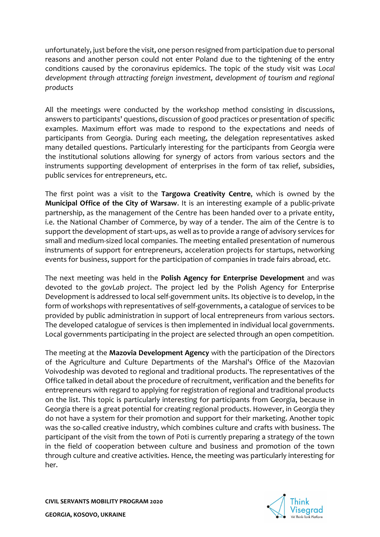unfortunately, just before the visit, one person resigned from participation due to personal reasons and another person could not enter Poland due to the tightening of the entry conditions caused by the coronavirus epidemics. The topic of the study visit was *Local development through attracting foreign investment, development of tourism and regional products*

All the meetings were conducted by the workshop method consisting in discussions, answers to participants' questions, discussion of good practices or presentation of specific examples. Maximum effort was made to respond to the expectations and needs of participants from Georgia. During each meeting, the delegation representatives asked many detailed questions. Particularly interesting for the participants from Georgia were the institutional solutions allowing for synergy of actors from various sectors and the instruments supporting development of enterprises in the form of tax relief, subsidies, public services for entrepreneurs, etc.

The first point was a visit to the **Targowa Creativity Centre**, which is owned by the **Municipal Office of the City of Warsaw**. It is an interesting example of a public-private partnership, as the management of the Centre has been handed over to a private entity, i.e. the National Chamber of Commerce, by way of a tender. The aim of the Centre is to support the development of start-ups, as well as to provide a range of advisory services for small and medium-sized local companies. The meeting entailed presentation of numerous instruments of support for entrepreneurs, acceleration projects for startups, networking events for business, support for the participation of companies in trade fairs abroad, etc.

The next meeting was held in the **Polish Agency for Enterprise Development** and was devoted to the *govLab project*. The project led by the Polish Agency for Enterprise Development is addressed to local self-government units. Its objective is to develop, in the form of workshops with representatives of self-governments, a catalogue of services to be provided by public administration in support of local entrepreneurs from various sectors. The developed catalogue of services is then implemented in individual local governments. Local governments participating in the project are selected through an open competition.

The meeting at the **Mazovia Development Agency** with the participation of the Directors of the Agriculture and Culture Departments of the Marshal's Office of the Mazovian Voivodeship was devoted to regional and traditional products. The representatives of the Office talked in detail about the procedure of recruitment, verification and the benefits for entrepreneurs with regard to applying for registration of regional and traditional products on the list. This topic is particularly interesting for participants from Georgia, because in Georgia there is a great potential for creating regional products. However, in Georgia they do not have a system for their promotion and support for their marketing. Another topic was the so-called creative industry, which combines culture and crafts with business. The participant of the visit from the town of Poti is currently preparing a strategy of the town in the field of cooperation between culture and business and promotion of the town through culture and creative activities. Hence, the meeting was particularly interesting for her.

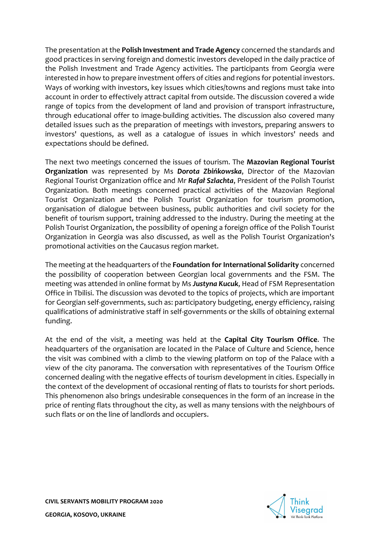The presentation at the **Polish Investment and Trade Agency** concerned the standards and good practices in serving foreign and domestic investors developed in the daily practice of the Polish Investment and Trade Agency activities. The participants from Georgia were interested in how to prepare investment offers of cities and regions for potential investors. Ways of working with investors, key issues which cities/towns and regions must take into account in order to effectively attract capital from outside. The discussion covered a wide range of topics from the development of land and provision of transport infrastructure, through educational offer to image-building activities. The discussion also covered many detailed issues such as the preparation of meetings with investors, preparing answers to investors' questions, as well as a catalogue of issues in which investors' needs and expectations should be defined.

The next two meetings concerned the issues of tourism. The **Mazovian Regional Tourist Organization** was represented by Ms *Dorota Zbińkowska*, Director of the Mazovian Regional Tourist Organization office and Mr *Rafał Szlachta*, President of the Polish Tourist Organization. Both meetings concerned practical activities of the Mazovian Regional Tourist Organization and the Polish Tourist Organization for tourism promotion, organisation of dialogue between business, public authorities and civil society for the benefit of tourism support, training addressed to the industry. During the meeting at the Polish Tourist Organization, the possibility of opening a foreign office of the Polish Tourist Organization in Georgia was also discussed, as well as the Polish Tourist Organization's promotional activities on the Caucasus region market.

The meeting at the headquarters of the **Foundation for International Solidarity** concerned the possibility of cooperation between Georgian local governments and the FSM. The meeting was attended in online format by Ms *Justyna Kucuk*, Head of FSM Representation Office in Tbilisi. The discussion was devoted to the topics of projects, which are important for Georgian self-governments, such as: participatory budgeting, energy efficiency, raising qualifications of administrative staff in self-governments or the skills of obtaining external funding.

At the end of the visit, a meeting was held at the **Capital City Tourism Office**. The headquarters of the organisation are located in the Palace of Culture and Science, hence the visit was combined with a climb to the viewing platform on top of the Palace with a view of the city panorama. The conversation with representatives of the Tourism Office concerned dealing with the negative effects of tourism development in cities. Especially in the context of the development of occasional renting of flats to tourists for short periods. This phenomenon also brings undesirable consequences in the form of an increase in the price of renting flats throughout the city, as well as many tensions with the neighbours of such flats or on the line of landlords and occupiers.

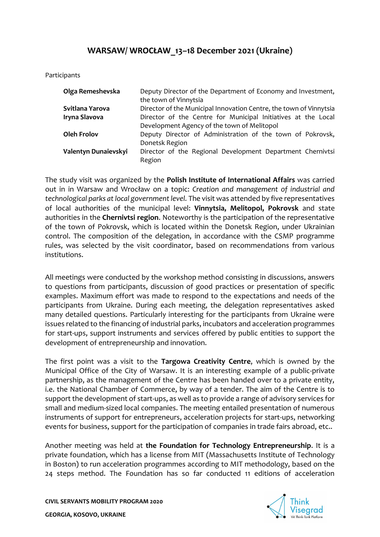# **WARSAW/ WROCŁAW\_13–18 December 2021 (Ukraine)**

Participants

| Olga Remeshevska     | Deputy Director of the Department of Economy and Investment,<br>the town of Vinnytsia                        |
|----------------------|--------------------------------------------------------------------------------------------------------------|
| Svitlana Yarova      | Director of the Municipal Innovation Centre, the town of Vinnytsia                                           |
| Iryna Slavova        | Director of the Centre for Municipal Initiatives at the Local<br>Development Agency of the town of Melitopol |
| <b>Oleh Frolov</b>   | Deputy Director of Administration of the town of Pokrovsk,<br>Donetsk Region                                 |
| Valentyn Dunaievskyi | Director of the Regional Development Department Chernivtsi<br>Region                                         |

The study visit was organized by the **Polish Institute of International Affairs** was carried out in in Warsaw and Wrocław on a topic: *Creation and management of industrial and technological parks at local government level.* The visit was attended by five representatives of local authorities of the municipal level: **Vinnytsia, Melitopol, Pokrovsk** and state authorities in the **Chernivtsi region**. Noteworthy is the participation of the representative of the town of Pokrovsk, which is located within the Donetsk Region, under Ukrainian control. The composition of the delegation, in accordance with the CSMP programme rules, was selected by the visit coordinator, based on recommendations from various institutions.

All meetings were conducted by the workshop method consisting in discussions, answers to questions from participants, discussion of good practices or presentation of specific examples. Maximum effort was made to respond to the expectations and needs of the participants from Ukraine. During each meeting, the delegation representatives asked many detailed questions. Particularly interesting for the participants from Ukraine were issues related to the financing of industrial parks, incubators and acceleration programmes for start-ups, support instruments and services offered by public entities to support the development of entrepreneurship and innovation.

The first point was a visit to the **Targowa Creativity Centre**, which is owned by the Municipal Office of the City of Warsaw. It is an interesting example of a public-private partnership, as the management of the Centre has been handed over to a private entity, i.e. the National Chamber of Commerce, by way of a tender. The aim of the Centre is to support the development of start-ups, as well as to provide a range of advisory services for small and medium-sized local companies. The meeting entailed presentation of numerous instruments of support for entrepreneurs, acceleration projects for start-ups, networking events for business, support for the participation of companies in trade fairs abroad, etc..

Another meeting was held at **the Foundation for Technology Entrepreneurship**. It is a private foundation, which has a license from MIT (Massachusetts Institute of Technology in Boston) to run acceleration programmes according to MIT methodology, based on the 24 steps method. The Foundation has so far conducted 11 editions of acceleration

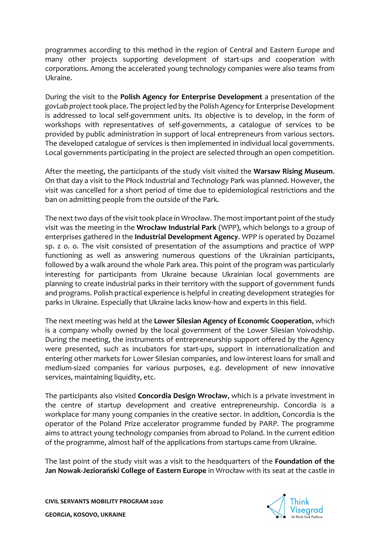programmes according to this method in the region of Central and Eastern Europe and many other projects supporting development of start-ups and cooperation with corporations. Among the accelerated young technology companies were also teams from Ukraine.

During the visit to the **Polish Agency for Enterprise Development** a presentation of the *govLab project*took place. The project led by the Polish Agency for Enterprise Development is addressed to local self-government units. Its objective is to develop, in the form of workshops with representatives of self-governments, a catalogue of services to be provided by public administration in support of local entrepreneurs from various sectors. The developed catalogue of services is then implemented in individual local governments. Local governments participating in the project are selected through an open competition.

After the meeting, the participants of the study visit visited the **Warsaw Rising Museum**. On that day a visit to the Płock Industrial and Technology Park was planned. However, the visit was cancelled for a short period of time due to epidemiological restrictions and the ban on admitting people from the outside of the Park.

The next two days of the visit took place in Wrocław. The most important point of the study visit was the meeting in the **Wrocław Industrial Park** (WPP), which belongs to a group of enterprises gathered in the **Industrial Development Agency**. WPP is operated by Dozamel sp. z o. o. The visit consisted of presentation of the assumptions and practice of WPP functioning as well as answering numerous questions of the Ukrainian participants, followed by a walk around the whole Park area. This point of the program was particularly interesting for participants from Ukraine because Ukrainian local governments are planning to create industrial parks in their territory with the support of government funds and programs. Polish practical experience is helpful in creating development strategies for parks in Ukraine. Especially that Ukraine lacks know-how and experts in this field.

The next meeting was held at the **Lower Silesian Agency of Economic Cooperation**, which is a company wholly owned by the local government of the Lower Silesian Voivodship. During the meeting, the instruments of entrepreneurship support offered by the Agency were presented, such as incubators for start-ups, support in internationalization and entering other markets for Lower Silesian companies, and low-interest loans for small and medium-sized companies for various purposes, e.g. development of new innovative services, maintaining liquidity, etc.

The participants also visited **Concordia Design Wrocław**, which is a private investment in the centre of startup development and creative entrepreneurship. Concordia is a workplace for many young companies in the creative sector. In addition, Concordia is the operator of the Poland Prize accelerator programme funded by PARP. The programme aims to attract young technology companies from abroad to Poland. In the current edition of the programme, almost half of the applications from startups came from Ukraine.

The last point of the study visit was a visit to the headquarters of the **Foundation of the Jan Nowak-Jeziorański College of Eastern Europe** in Wrocław with its seat at the castle in